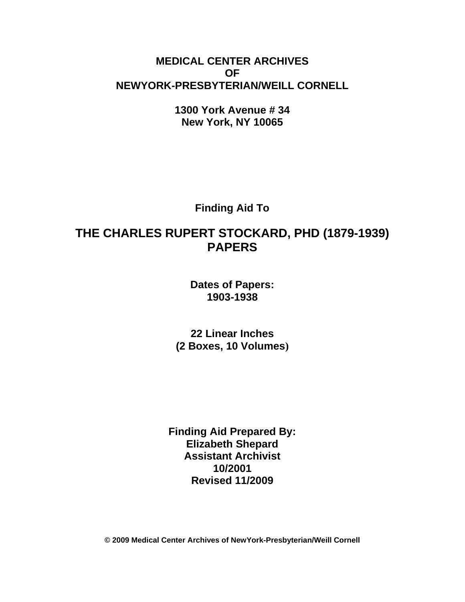# **MEDICAL CENTER ARCHIVES OF NEWYORK-PRESBYTERIAN/WEILL CORNELL**

**1300 York Avenue # 34 New York, NY 10065**

**Finding Aid To**

# **THE CHARLES RUPERT STOCKARD, PHD (1879-1939) PAPERS**

**Dates of Papers: 1903-1938**

**22 Linear Inches (2 Boxes, 10 Volumes)**

**Finding Aid Prepared By: Elizabeth Shepard Assistant Archivist 10/2001 Revised 11/2009**

**© 2009 Medical Center Archives of NewYork-Presbyterian/Weill Cornell**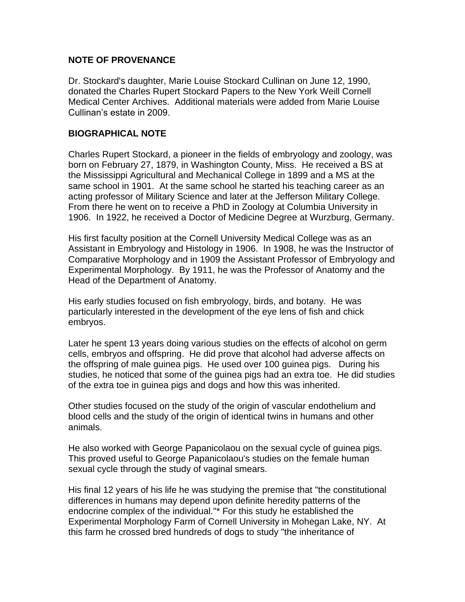# **NOTE OF PROVENANCE**

Dr. Stockard's daughter, Marie Louise Stockard Cullinan on June 12, 1990, donated the Charles Rupert Stockard Papers to the New York Weill Cornell Medical Center Archives. Additional materials were added from Marie Louise Cullinan's estate in 2009.

#### **BIOGRAPHICAL NOTE**

Charles Rupert Stockard, a pioneer in the fields of embryology and zoology, was born on February 27, 1879, in Washington County, Miss. He received a BS at the Mississippi Agricultural and Mechanical College in 1899 and a MS at the same school in 1901. At the same school he started his teaching career as an acting professor of Military Science and later at the Jefferson Military College. From there he went on to receive a PhD in Zoology at Columbia University in 1906. In 1922, he received a Doctor of Medicine Degree at Wurzburg, Germany.

His first faculty position at the Cornell University Medical College was as an Assistant in Embryology and Histology in 1906. In 1908, he was the Instructor of Comparative Morphology and in 1909 the Assistant Professor of Embryology and Experimental Morphology. By 1911, he was the Professor of Anatomy and the Head of the Department of Anatomy.

His early studies focused on fish embryology, birds, and botany. He was particularly interested in the development of the eye lens of fish and chick embryos.

Later he spent 13 years doing various studies on the effects of alcohol on germ cells, embryos and offspring. He did prove that alcohol had adverse affects on the offspring of male guinea pigs. He used over 100 guinea pigs. During his studies, he noticed that some of the guinea pigs had an extra toe. He did studies of the extra toe in guinea pigs and dogs and how this was inherited.

Other studies focused on the study of the origin of vascular endothelium and blood cells and the study of the origin of identical twins in humans and other animals.

He also worked with George Papanicolaou on the sexual cycle of guinea pigs. This proved useful to George Papanicolaou's studies on the female human sexual cycle through the study of vaginal smears.

His final 12 years of his life he was studying the premise that "the constitutional differences in humans may depend upon definite heredity patterns of the endocrine complex of the individual."\* For this study he established the Experimental Morphology Farm of Cornell University in Mohegan Lake, NY. At this farm he crossed bred hundreds of dogs to study "the inheritance of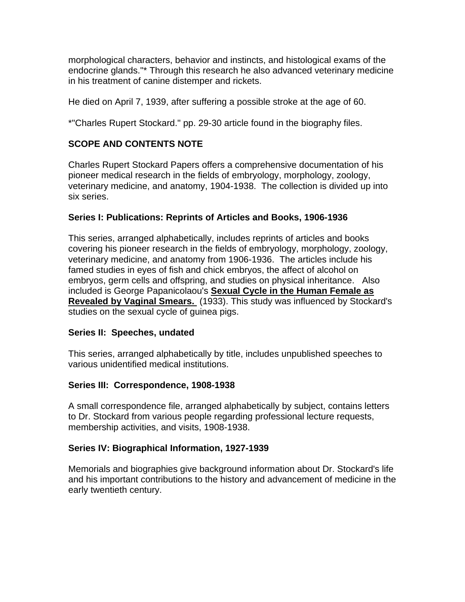morphological characters, behavior and instincts, and histological exams of the endocrine glands."\* Through this research he also advanced veterinary medicine in his treatment of canine distemper and rickets.

He died on April 7, 1939, after suffering a possible stroke at the age of 60.

\*"Charles Rupert Stockard." pp. 29-30 article found in the biography files.

# **SCOPE AND CONTENTS NOTE**

Charles Rupert Stockard Papers offers a comprehensive documentation of his pioneer medical research in the fields of embryology, morphology, zoology, veterinary medicine, and anatomy, 1904-1938. The collection is divided up into six series.

# **Series I: Publications: Reprints of Articles and Books, 1906-1936**

This series, arranged alphabetically, includes reprints of articles and books covering his pioneer research in the fields of embryology, morphology, zoology, veterinary medicine, and anatomy from 1906-1936. The articles include his famed studies in eyes of fish and chick embryos, the affect of alcohol on embryos, germ cells and offspring, and studies on physical inheritance. Also included is George Papanicolaou's **Sexual Cycle in the Human Female as Revealed by Vaginal Smears.** (1933). This study was influenced by Stockard's studies on the sexual cycle of guinea pigs.

# **Series II: Speeches, undated**

This series, arranged alphabetically by title, includes unpublished speeches to various unidentified medical institutions.

# **Series III: Correspondence, 1908-1938**

A small correspondence file, arranged alphabetically by subject, contains letters to Dr. Stockard from various people regarding professional lecture requests, membership activities, and visits, 1908-1938.

# **Series IV: Biographical Information, 1927-1939**

Memorials and biographies give background information about Dr. Stockard's life and his important contributions to the history and advancement of medicine in the early twentieth century.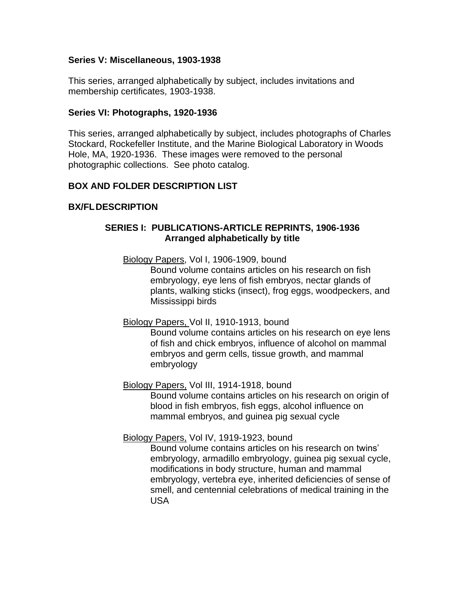# **Series V: Miscellaneous, 1903-1938**

This series, arranged alphabetically by subject, includes invitations and membership certificates, 1903-1938.

#### **Series VI: Photographs, 1920-1936**

This series, arranged alphabetically by subject, includes photographs of Charles Stockard, Rockefeller Institute, and the Marine Biological Laboratory in Woods Hole, MA, 1920-1936. These images were removed to the personal photographic collections. See photo catalog.

# **BOX AND FOLDER DESCRIPTION LIST**

# **BX/FLDESCRIPTION**

# **SERIES I: PUBLICATIONS-ARTICLE REPRINTS, 1906-1936 Arranged alphabetically by title**

Biology Papers, Vol I, 1906-1909, bound

Bound volume contains articles on his research on fish embryology, eye lens of fish embryos, nectar glands of plants, walking sticks (insect), frog eggs, woodpeckers, and Mississippi birds

# Biology Papers, Vol II, 1910-1913, bound

Bound volume contains articles on his research on eye lens of fish and chick embryos, influence of alcohol on mammal embryos and germ cells, tissue growth, and mammal embryology

Biology Papers, Vol III, 1914-1918, bound

Bound volume contains articles on his research on origin of blood in fish embryos, fish eggs, alcohol influence on mammal embryos, and guinea pig sexual cycle

# Biology Papers, Vol IV, 1919-1923, bound

Bound volume contains articles on his research on twins' embryology, armadillo embryology, guinea pig sexual cycle, modifications in body structure, human and mammal embryology, vertebra eye, inherited deficiencies of sense of smell, and centennial celebrations of medical training in the USA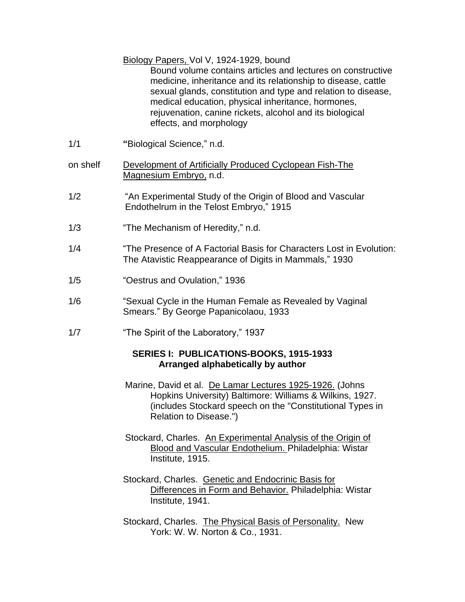|          | Biology Papers, Vol V, 1924-1929, bound<br>Bound volume contains articles and lectures on constructive<br>medicine, inheritance and its relationship to disease, cattle<br>sexual glands, constitution and type and relation to disease,<br>medical education, physical inheritance, hormones,<br>rejuvenation, canine rickets, alcohol and its biological<br>effects, and morphology |
|----------|---------------------------------------------------------------------------------------------------------------------------------------------------------------------------------------------------------------------------------------------------------------------------------------------------------------------------------------------------------------------------------------|
| 1/1      | "Biological Science," n.d.                                                                                                                                                                                                                                                                                                                                                            |
| on shelf | Development of Artificially Produced Cyclopean Fish-The<br>Magnesium Embryo, n.d.                                                                                                                                                                                                                                                                                                     |
| 1/2      | "An Experimental Study of the Origin of Blood and Vascular<br>Endothelrum in the Telost Embryo," 1915                                                                                                                                                                                                                                                                                 |
| 1/3      | "The Mechanism of Heredity," n.d.                                                                                                                                                                                                                                                                                                                                                     |
| 1/4      | "The Presence of A Factorial Basis for Characters Lost in Evolution:<br>The Atavistic Reappearance of Digits in Mammals," 1930                                                                                                                                                                                                                                                        |
| 1/5      | "Oestrus and Ovulation," 1936                                                                                                                                                                                                                                                                                                                                                         |
| 1/6      | "Sexual Cycle in the Human Female as Revealed by Vaginal<br>Smears." By George Papanicolaou, 1933                                                                                                                                                                                                                                                                                     |
| 1/7      | "The Spirit of the Laboratory," 1937                                                                                                                                                                                                                                                                                                                                                  |
|          | SERIES I: PUBLICATIONS-BOOKS, 1915-1933<br>Arranged alphabetically by author                                                                                                                                                                                                                                                                                                          |
|          | Marine, David et al. De Lamar Lectures 1925-1926. (Johns<br>Hopkins University) Baltimore: Williams & Wilkins, 1927.<br>(includes Stockard speech on the "Constitutional Types in<br>Relation to Disease.")                                                                                                                                                                           |
|          | Stockard, Charles. An Experimental Analysis of the Origin of<br><b>Blood and Vascular Endothelium. Philadelphia: Wistar</b><br>Institute, 1915.                                                                                                                                                                                                                                       |
|          | Stockard, Charles. Genetic and Endocrinic Basis for<br>Differences in Form and Behavior. Philadelphia: Wistar<br>Institute, 1941.                                                                                                                                                                                                                                                     |
|          | Stockard, Charles. The Physical Basis of Personality. New<br>York: W. W. Norton & Co., 1931.                                                                                                                                                                                                                                                                                          |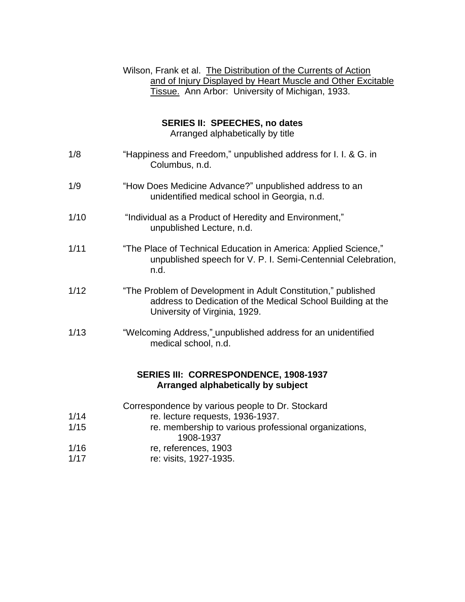# Wilson, Frank et al. The Distribution of the Currents of Action and of Injury Displayed by Heart Muscle and Other Excitable Tissue. Ann Arbor: University of Michigan, 1933.

# **SERIES II: SPEECHES, no dates**

Arranged alphabetically by title

| 1/8  | "Happiness and Freedom," unpublished address for I. I. & G. in<br>Columbus, n.d.                                                                              |
|------|---------------------------------------------------------------------------------------------------------------------------------------------------------------|
| 1/9  | "How Does Medicine Advance?" unpublished address to an<br>unidentified medical school in Georgia, n.d.                                                        |
| 1/10 | "Individual as a Product of Heredity and Environment,"<br>unpublished Lecture, n.d.                                                                           |
| 1/11 | "The Place of Technical Education in America: Applied Science,"<br>unpublished speech for V. P. I. Semi-Centennial Celebration,<br>n.d.                       |
| 1/12 | "The Problem of Development in Adult Constitution," published<br>address to Dedication of the Medical School Building at the<br>University of Virginia, 1929. |
| 1/13 | "Welcoming Address," unpublished address for an unidentified<br>medical school, n.d.                                                                          |
|      | SERIES III: CORRESPONDENCE, 1908-1937<br>Arranged alphabetically by subject                                                                                   |
|      | Correspondence by various people to Dr. Stockard                                                                                                              |
| 1/14 | re. lecture requests, 1936-1937.                                                                                                                              |
| 1/15 | re. membership to various professional organizations,<br>1000, 1027                                                                                           |

- 1908-1937 1/16 re, references, 1903
- 1/17 re: visits, 1927-1935.